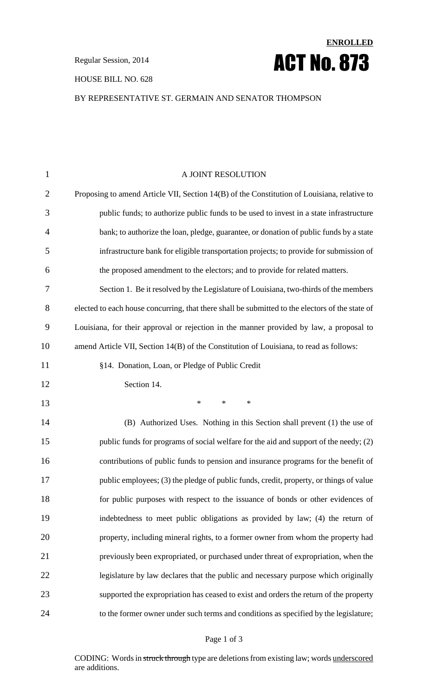#### HOUSE BILL NO. 628

# **ENROLLED Regular Session, 2014 ACT No. 873**

### BY REPRESENTATIVE ST. GERMAIN AND SENATOR THOMPSON

| $\mathbf{1}$   | A JOINT RESOLUTION                                                                              |
|----------------|-------------------------------------------------------------------------------------------------|
| $\overline{2}$ | Proposing to amend Article VII, Section 14(B) of the Constitution of Louisiana, relative to     |
| 3              | public funds; to authorize public funds to be used to invest in a state infrastructure          |
| $\overline{4}$ | bank; to authorize the loan, pledge, guarantee, or donation of public funds by a state          |
| 5              | infrastructure bank for eligible transportation projects; to provide for submission of          |
| 6              | the proposed amendment to the electors; and to provide for related matters.                     |
| 7              | Section 1. Be it resolved by the Legislature of Louisiana, two-thirds of the members            |
| 8              | elected to each house concurring, that there shall be submitted to the electors of the state of |
| 9              | Louisiana, for their approval or rejection in the manner provided by law, a proposal to         |
| 10             | amend Article VII, Section 14(B) of the Constitution of Louisiana, to read as follows:          |
| 11             | §14. Donation, Loan, or Pledge of Public Credit                                                 |
| 12             | Section 14.                                                                                     |
| 13             | $\ast$<br>$\ast$<br>$\ast$                                                                      |
| 14             | (B) Authorized Uses. Nothing in this Section shall prevent (1) the use of                       |
| 15             | public funds for programs of social welfare for the aid and support of the needy; (2)           |
| 16             | contributions of public funds to pension and insurance programs for the benefit of              |
| 17             | public employees; (3) the pledge of public funds, credit, property, or things of value          |
| 18             | for public purposes with respect to the issuance of bonds or other evidences of                 |
| 19             | indebtedness to meet public obligations as provided by law; (4) the return of                   |
| 20             | property, including mineral rights, to a former owner from whom the property had                |
| 21             | previously been expropriated, or purchased under threat of expropriation, when the              |
| 22             | legislature by law declares that the public and necessary purpose which originally              |
| 23             | supported the expropriation has ceased to exist and orders the return of the property           |
| 24             | to the former owner under such terms and conditions as specified by the legislature;            |
|                |                                                                                                 |

#### Page 1 of 3

CODING: Words in struck through type are deletions from existing law; words underscored are additions.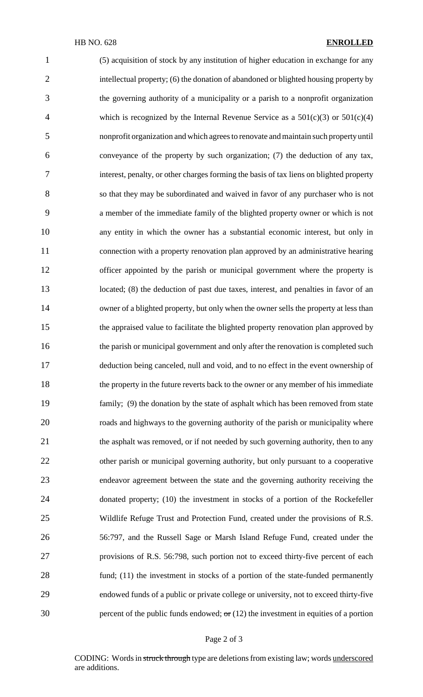(5) acquisition of stock by any institution of higher education in exchange for any intellectual property; (6) the donation of abandoned or blighted housing property by the governing authority of a municipality or a parish to a nonprofit organization 4 which is recognized by the Internal Revenue Service as a  $501(c)(3)$  or  $501(c)(4)$  nonprofit organization and which agreesto renovate andmaintain such propertyuntil conveyance of the property by such organization; (7) the deduction of any tax, interest, penalty, or other charges forming the basis of tax liens on blighted property so that they may be subordinated and waived in favor of any purchaser who is not a member of the immediate family of the blighted property owner or which is not any entity in which the owner has a substantial economic interest, but only in connection with a property renovation plan approved by an administrative hearing 12 officer appointed by the parish or municipal government where the property is 13 located; (8) the deduction of past due taxes, interest, and penalties in favor of an 14 owner of a blighted property, but only when the owner sells the property at less than the appraised value to facilitate the blighted property renovation plan approved by the parish or municipal government and only after the renovation is completed such deduction being canceled, null and void, and to no effect in the event ownership of the property in the future reverts back to the owner or any member of his immediate family; (9) the donation by the state of asphalt which has been removed from state roads and highways to the governing authority of the parish or municipality where the asphalt was removed, or if not needed by such governing authority, then to any other parish or municipal governing authority, but only pursuant to a cooperative endeavor agreement between the state and the governing authority receiving the donated property; (10) the investment in stocks of a portion of the Rockefeller Wildlife Refuge Trust and Protection Fund, created under the provisions of R.S. 56:797, and the Russell Sage or Marsh Island Refuge Fund, created under the provisions of R.S. 56:798, such portion not to exceed thirty-five percent of each fund; (11) the investment in stocks of a portion of the state-funded permanently endowed funds of a public or private college or university, not to exceed thirty-five 30 percent of the public funds endowed;  $\sigma$ r (12) the investment in equities of a portion

#### Page 2 of 3

CODING: Words in struck through type are deletions from existing law; words underscored are additions.